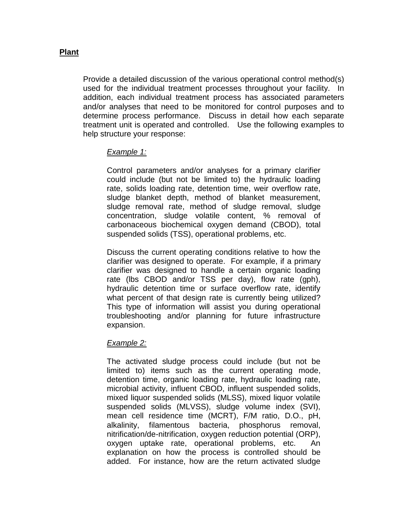## **Plant**

Provide a detailed discussion of the various operational control method(s) used for the individual treatment processes throughout your facility. In addition, each individual treatment process has associated parameters and/or analyses that need to be monitored for control purposes and to determine process performance. Discuss in detail how each separate treatment unit is operated and controlled. Use the following examples to help structure your response:

## *Example 1:*

Control parameters and/or analyses for a primary clarifier could include (but not be limited to) the hydraulic loading rate, solids loading rate, detention time, weir overflow rate, sludge blanket depth, method of blanket measurement, sludge removal rate, method of sludge removal, sludge concentration, sludge volatile content, % removal of carbonaceous biochemical oxygen demand (CBOD), total suspended solids (TSS), operational problems, etc.

Discuss the current operating conditions relative to how the clarifier was designed to operate. For example, if a primary clarifier was designed to handle a certain organic loading rate (lbs CBOD and/or TSS per day), flow rate (gph), hydraulic detention time or surface overflow rate, identify what percent of that design rate is currently being utilized? This type of information will assist you during operational troubleshooting and/or planning for future infrastructure expansion.

## *Example 2:*

The activated sludge process could include (but not be limited to) items such as the current operating mode, detention time, organic loading rate, hydraulic loading rate, microbial activity, influent CBOD, influent suspended solids, mixed liquor suspended solids (MLSS), mixed liquor volatile suspended solids (MLVSS), sludge volume index (SVI), mean cell residence time (MCRT), F/M ratio, D.O., pH, alkalinity, filamentous bacteria, phosphorus removal, nitrification/de-nitrification, oxygen reduction potential (ORP), oxygen uptake rate, operational problems, etc. An explanation on how the process is controlled should be added. For instance, how are the return activated sludge